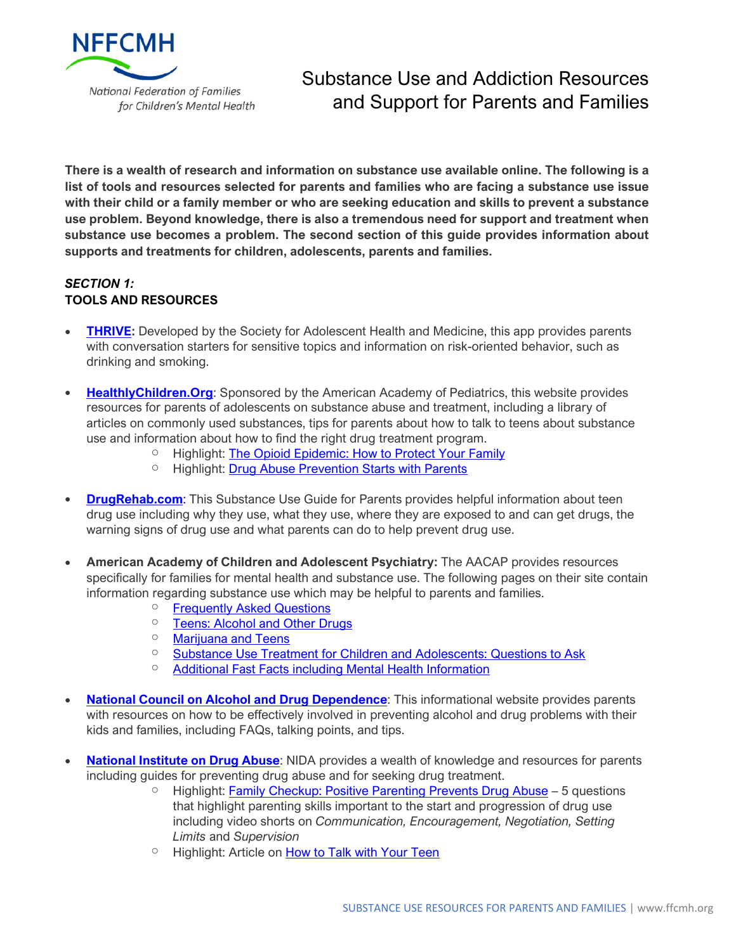

**There is a wealth of research and information on substance use available online. The following is a list of tools and resources selected for parents and families who are facing a substance use issue with their child or a family member or who are seeking education and skills to prevent a substance use problem. Beyond knowledge, there is also a tremendous need for support and treatment when substance use becomes a problem. The second section of this guide provides information about supports and treatments for children, adolescents, parents and families.**

# *SECTION 1:* **TOOLS AND RESOURCES**

- **[THRIVE:](https://www.adolescenthealth.org/About-SAHM/Healthy-Student-App-Info.aspx)** Developed by the Society for Adolescent Health and Medicine, this app provides parents with conversation starters for sensitive topics and information on risk-oriented behavior, such as drinking and smoking.
- **[HealthlyChildren.Org](https://www.healthychildren.org/English/ages-stages/teen/substance-abuse/Pages/default.aspx)**: Sponsored by the American Academy of Pediatrics, this website provides resources for parents of adolescents on substance abuse and treatment, including a library of articles on commonly used substances, tips for parents about how to talk to teens about substance use and information about how to find the right drug treatment program.
	- <sup>o</sup> Highlight: [The Opioid Epidemic: How to Protect Your Family](https://www.healthychildren.org/English/ages-stages/teen/substance-abuse/Pages/The-Opioid-Epidemic.aspx)
	- <sup>o</sup> Highlight: [Drug Abuse Prevention Starts with Parents](https://www.healthychildren.org/English/ages-stages/teen/substance-abuse/Pages/Drug-Abuse-Prevention-Starts-with-Parents.aspx)
- **[DrugRehab.com](https://www.drugrehab.com/guides/parents/)**: This Substance Use Guide for Parents provides helpful information about teen drug use including why they use, what they use, where they are exposed to and can get drugs, the warning signs of drug use and what parents can do to help prevent drug use.
- **American Academy of Children and Adolescent Psychiatry:** The AACAP provides resources specifically for families for mental health and substance use. The following pages on their site contain information regarding substance use which may be helpful to parents and families.
	- o [Frequently](https://www.aacap.org/AACAP/Families_and_Youth/Resource_Centers/Substance_Use_Resource_Center/FAQ.aspx#question1) Asked Questions
	- o [Teens: Alcohol and Other Drugs](https://www.aacap.org/AACAP/Families_and_Youth/Facts_for_Families/FFF-Guide/Teens-Alcohol-And-Other-Drugs-003.aspx)
	- o [Marijuana and Teens](https://www.aacap.org/AACAP/Families_and_Youth/Facts_for_Families/FFF-Guide/Marijuana-and-Teens-106.aspx)
	- <sup>o</sup> [Substance Use Treatment for Children and Adolescents: Questions to Ask](https://www.aacap.org/AACAP/Families_and_Youth/Facts_for_Families/FFF-Guide/Substance-Abuse-Treatment-For-Children-And-Adolescents-Questions-To-Ask-041.aspx)
	- o [Additional Fast Facts including Mental Health Information](https://www.aacap.org/AACAP/Families_and_Youth/Resource_Centers/Substance_Use_Resource_Center/Home.aspx#factsforfamilies)
- **National Council on Alcohol and Drug [Dependence](https://www.ncadd.org/family-friends)**: This informational website provides parents with resources on how to be effectively involved in preventing alcohol and drug problems with their kids and families, including FAQs, talking points, and tips.
- **[National](https://teens.drugabuse.gov/parents) Institute on Drug Abuse**: NIDA provides a wealth of knowledge and resources for parents including guides for preventing drug abuse and for seeking drug treatment.
	- $\circ$  Highlight: [Family Checkup: Positive Parenting Prevents Drug Abuse](https://www.drugabuse.gov/family-checkup) 5 questions that highlight parenting skills important to the start and progression of drug use including video shorts on *Communication, Encouragement, Negotiation, Setting Limits* and *Supervision*
	- <sup>o</sup> Highlight: Article on [How to Talk with Your Teen](https://drugfree.org/article/how-to-talk-with-your-teen/)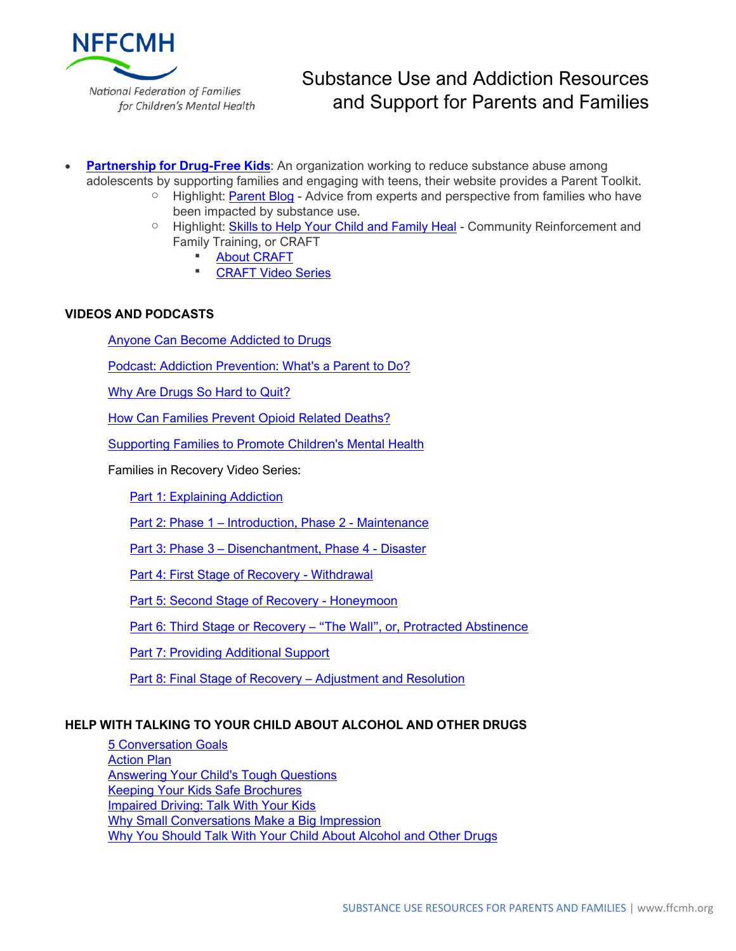

- **[Partnership](http://www.drugfree.org/) for Drug-Free Kids**: An organization working to reduce substance abuse among adolescents by supporting families and engaging with teens, their website provides a Parent Toolkit.
	- $\circ$  Highlight: [Parent Blog](https://drugfree.org/parent-blog/) Advice from experts and perspective from families who have been impacted by substance use.
	- Highlight: [Skills to Help Your Child and Family Heal](https://drugfree.org/article/skills-to-help-your-child-and-family-heal/) Community Reinforcement and Family Training, or CRAFT
		- [About CRAFT](https://drugfree.org/article/skills-to-help-your-child-and-family-heal/)
		- **[CRAFT Video Series](https://www.youtube.com/playlist?list=PLu1Vzpklw-4OVYARdtDMS8Co568Wg7NkD)**

## **VIDEOS AND PODCASTS**

[Anyone Can Become Addicted to Drugs](https://www.youtube.com/watch?time_continue=5&v=SY2luGTX7Dk)

[Podcast: Addiction Prevention: What's a Parent to](https://www.hazeldenbettyford.org/articles/podcasts/addiction-prevention-parents) Do?

[Why Are Drugs So Hard to Quit?](https://www.youtube.com/watch?v=zV6zKmt7S5E)

[How Can Families Prevent Opioid Related Deaths?](https://www.youtube.com/watch?time_continue=7&v=5ceJhH9Apxw)

Supporting Families to Promote Children's [Mental](http://thinkt3.libsyn.com/lynda-gargan?fbclid=IwAR3KoJwYjb8P7CxMq1CNpTVeD9tv2-T4Pgh97C0vWZVnVghhbclbC4hdpj8) Health

Families in Recovery Video Series:

[Part 1: Explaining Addiction](https://www.youtube.com/watch?v=sdt2U_avc40)

Part 2: Phase 1 – [Introduction, Phase 2 -](https://www.youtube.com/watch?v=Ml9P0JGY5Qw) Maintenance

Part 3: Phase 3 – [Disenchantment, Phase 4 -](https://www.youtube.com/watch?v=DOUKJBdouSA) Disaster

[Part 4: First Stage of Recovery -](https://www.youtube.com/watch?v=f0ZyRDN91nU) Withdrawal

[Part 5: Second Stage of Recovery -](https://www.youtube.com/watch?v=OASZOvmdiGs) Honeymoon

Part 6: Third Stage or Recovery – ["The Wall", or, Protracted Abstinence](https://www.youtube.com/watch?v=7gxVI3dQHEM)

[Part 7: Providing Additional Support](https://www.youtube.com/watch?v=3P0D1KryL3A)

[Part 8: Final Stage of Recovery –](https://www.youtube.com/watch?v=8AxqcRZQ6ZM) Adjustment and Resolution

## **HELP WITH TALKING TO YOUR CHILD ABOUT ALCOHOL AND OTHER DRUGS**

[5 Conversation Goals](https://www.samhsa.gov/underage-drinking/parent-resources/five-conversation-goals) [Action Plan](http://media.samhsa.gov/underagedrinking/action_plan/action_plan.html) [Answering Your Child's Tough Questions](https://www.samhsa.gov/underage-drinking/parent-resources/answering-your-childs-tough-questions) [Keeping Your Kids Safe Brochures](https://www.samhsa.gov/underage-drinking/parent-resources/keep-kids-safe-brochures) [Impaired Driving: Talk With Your Kids](https://www.samhsa.gov/underage-drinking/parent-resources/impaired-driving) [Why Small Conversations Make a Big Impression](https://www.samhsa.gov/underage-drinking/parent-resources/small-conversations) [Why You Should Talk With Your Child About Alcohol and Other Drugs](https://www.samhsa.gov/underage-drinking/parent-resources/why-you-should-talk-your-child)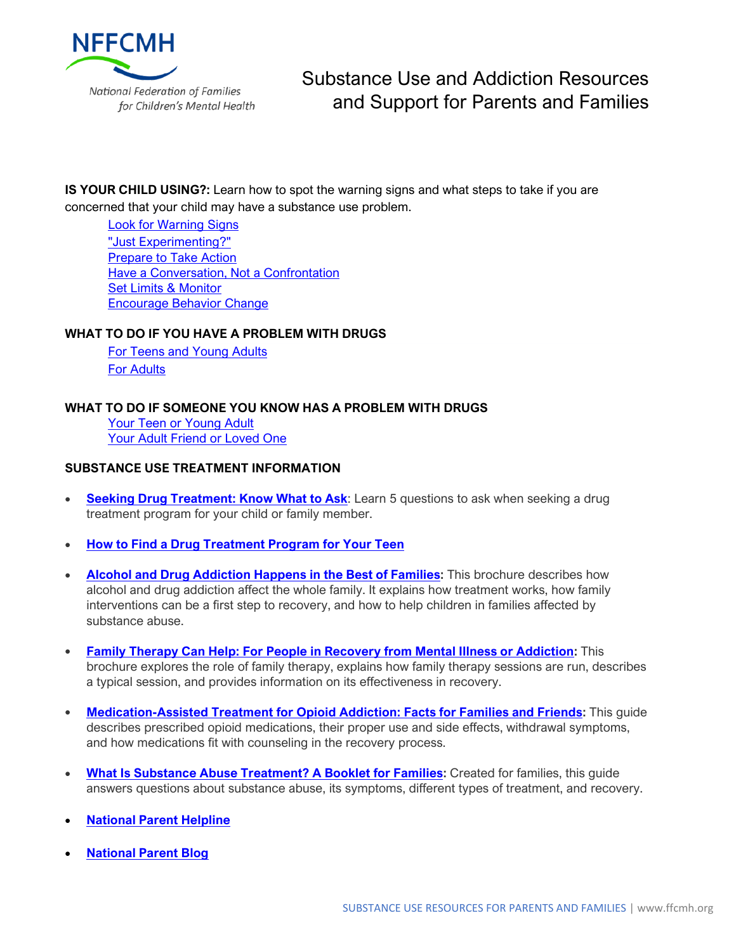

**IS YOUR CHILD USING?:** Learn how to spot the warning signs and what steps to take if you are concerned that your child may have a substance use problem.

[Look for Warning Signs](https://drugfree.org/article/look-for-warning-signs/) ["Just Experimenting?"](https://drugfree.org/article/why-just-experimenting-is-a-concern/) [Prepare to Take Action](https://drugfree.org/article/prepare-to-take-action/) [Have a Conversation, Not a Confrontation](https://drugfree.org/article/start-talking/) [Set Limits & Monitor](https://drugfree.org/article/set-limits-monitor/) [Encourage Behavior Change](https://drugfree.org/article/reinforce-the-positive/)

### **WHAT TO DO IF YOU HAVE A PROBLEM WITH DRUGS**

For Teens and [Young](https://www.drugabuse.gov/related-topics/treatment/what-to-do-if-you-have-problem-drugs-teens-young-adults) Adults For [Adults](https://www.drugabuse.gov/related-topics/treatment/what-to-do-if-you-have-problem-drugs-adults)

### **WHAT TO DO IF SOMEONE YOU KNOW HAS A PROBLEM WITH DRUGS**

[Your Teen or Young Adult](https://www.drugabuse.gov/related-topics/treatment/what-to-do-if-your-teen-or-young-adult-has-problem-drugs) [Your Adult Friend or Loved One](https://www.drugabuse.gov/related-topics/treatment/what-to-do-if-your-adult-friend-or-loved-one-has-problem-drugs)

### **SUBSTANCE USE TREATMENT INFORMATION**

- **[Seeking Drug Treatment: Know What to Ask](https://www.drugabuse.gov/publications/seeking-drug-abuse-treatment-know-what-to-ask/introduction):** Learn 5 questions to ask when seeking a drug treatment program for your child or family member.
- **[How to Find a Drug Treatment Program for Your Teen](https://www.healthychildren.org/English/ages-stages/teen/substance-abuse/Pages/How-To-Find-A-Drug-Treatment-Program.aspx)**
- **Alcohol and Drug [Addiction](https://store.samhsa.gov/system/files/phd1112.pdf) Happens in the Best of Families:** This brochure describes how alcohol and drug addiction affect the whole family. It explains how treatment works, how family interventions can be a first step to recovery, and how to help children in families affected by substance abuse.
- **Family Therapy Can Help: For People in Recovery from Mental Illness or [Addiction:](https://store.samhsa.gov/system/files/sma13-4784.pdf)** This brochure explores the role of family therapy, explains how family therapy sessions are run, describes a typical session, and provides information on its effectiveness in recovery.
- **[Medication-Assisted](https://www.ct.gov/dmhas/lib/dmhas/publications/MAT-InfoFamilyFriends.pdf) Treatment for Opioid Addiction: Facts for Families and Friends:** This guide describes prescribed opioid medications, their proper use and side effects, withdrawal symptoms, and how medications fit with counseling in the recovery process.
- **What Is Substance Abuse [Treatment?](https://store.samhsa.gov/system/files/sma14-4126.pdf) A Booklet for Families:** Created for families, this guide answers questions about substance abuse, its symptoms, different types of treatment, and recovery.
- **[National Parent Helpline](https://drugfree.org/learn/drug-and-alcohol-news/new-parent-helpline-provides-support-resources-for-teen-substance-abuse/)**
- **[National Parent Blog](https://drugfree.org/parent-blog/)**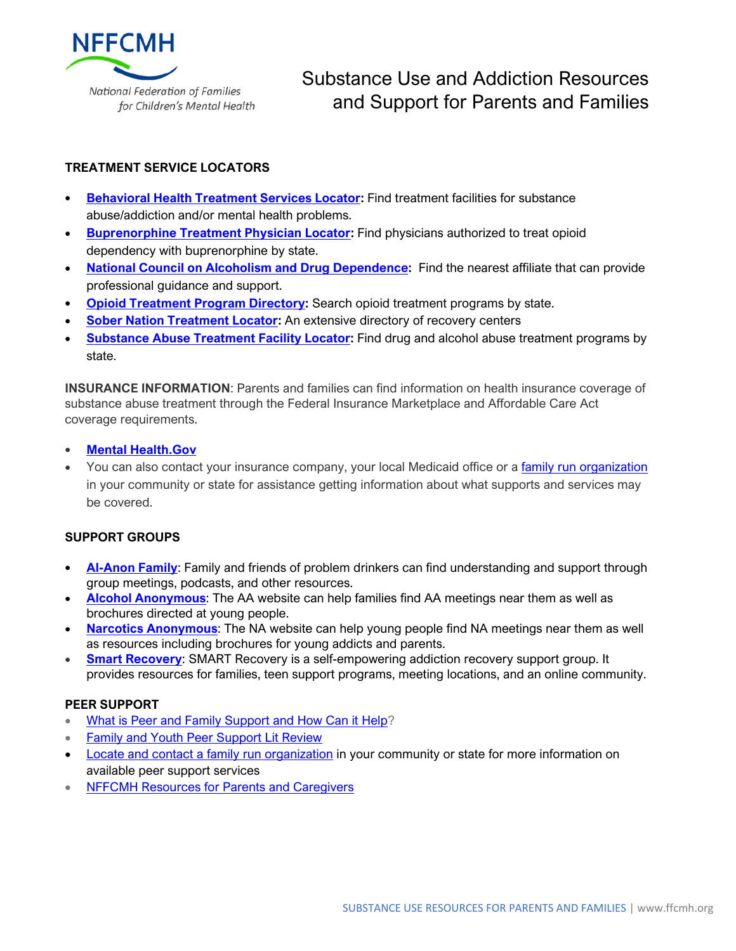

## **TREATMENT SERVICE LOCATORS**

- **[Behavioral](https://findtreatment.samhsa.gov/) Health Treatment Services Locator:** Find treatment facilities for substance abuse/addiction and/or mental health problems.
- **[Buprenorphine](http://1.usa.gov/1Mo6VbW) Treatment Physician Locator:** Find physicians authorized to treat opioid dependency with buprenorphine by state.
- **National Council on Alcoholism and Drug [Dependence:](https://ncadd.org/people-in-recovery/local-resources)** Find the nearest affiliate that can provide professional guidance and support.
- **Opioid [Treatment](http://dpt2.samhsa.gov/treatment/directory.aspx) Program Directory:** Search opioid treatment programs by state.
- **Sober Nation [Treatment](http://www.sobernation.com/) Locator:** An extensive directory of recovery centers
- **[Substance](https://findtreatment.samhsa.gov/TreatmentLocator/faces/quickSearch.jspx) Abuse Treatment Facility Locator:** Find drug and alcohol abuse treatment programs by state.

**INSURANCE INFORMATION**: Parents and families can find information on health insurance coverage of substance abuse treatment through the Federal Insurance Marketplace and Affordable Care Act coverage requirements.

- **Mental [Health.Gov](http://www.mentalhealth.gov/get-help/health-insurance/)**
- You can also contact your insurance company, your local Medicaid office or a [family run organization](https://www.ffcmh.org/our-affiliates) in your community or state for assistance getting information about what supports and services may be covered.

## **SUPPORT GROUPS**

- **[Al-Anon](http://www.al-anon.org/) Family**: Family and friends of problem drinkers can find understanding and support through group meetings, podcasts, and other resources.
- **Alcohol [Anonymous](http://www.aa.org/pages/en_US)**: The AA website can help families find AA meetings near them as well as brochures directed at young people.
- **Narcotics [Anonymous](http://www.na.org/)**: The NA website can help young people find NA meetings near them as well as resources including brochures for young addicts and parents.
- **Smart [Recovery](http://www.smartrecovery.org/)**: SMART Recovery is a self-empowering addiction recovery support group. It provides resources for families, teen support programs, meeting locations, and an online community.

## **PEER SUPPORT**

- [What is Peer and Family Support and How Can it Help?](https://www.samhsa.gov/sites/default/files/programs_campaigns/brss_tacs/family-parent-caregiver-support-behavioral-health-2017.pdf)
- [Family and Youth Peer Support Lit Review](https://nwi.pdx.edu/pdf/Peer-Support-Lit-Review.pdf)
- Locate and contact [a family run organization](https://www.ffcmh.org/our-affiliates) in your community or state for more information on available peer support services
- [NFFCMH Resources for Parents and Caregivers](https://www.ffcmh.org/resources-parentsandcaregivers)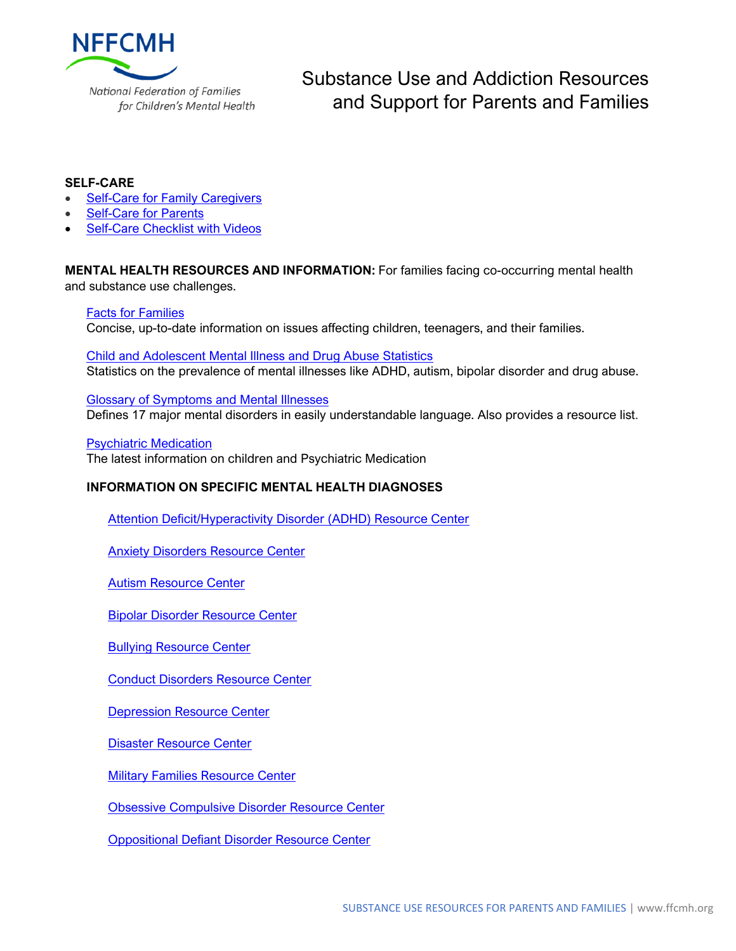

### **SELF-CARE**

- **[Self-Care for Family Caregivers](https://www.caregiver.org/taking-care-you-self-care-family-caregivers)**
- **[Self-Care for Parents](https://www.scanva.org/support-for-parents/parent-resource-center-2/self-care-for-parents/)**
- **Self-Care [Checklist with Videos](http://www.parentcompanion.org/article/self-care-checklist-for-caregivers)**

**MENTAL HEALTH RESOURCES AND INFORMATION:** For families facing co-occurring mental health and substance use challenges.

### **[Facts for Families](https://www.aacap.org/AACAP/Families_and_Youth/Facts_for_Families/AACAP/Families_and_Youth/Facts_for_Families/FFF-Guide/FFF-Guide-Home.aspx)**

Concise, up-to-date information on issues affecting children, teenagers, and their families.

[Child and Adolescent Mental Illness and Drug Abuse Statistics](https://www.aacap.org/AACAP/Families_and_Youth/Family_Resources/Child_and_Adolescent_Mental_Illness_and_Drug_Abuse_Statistics.aspx) Statistics on the prevalence of mental illnesses like ADHD, autism, bipolar disorder and drug abuse.

[Glossary of Symptoms and Mental Illnesses](https://www.aacap.org/AACAP/Families_and_Youth/Glossary_of_Symptoms_and_Illnesses/Home.aspx) Defines 17 major mental disorders in easily understandable language. Also provides a resource list.

[Psychiatric Medication](https://www.aacap.org/AACAP/Families_and_Youth/Resources/Psychiatric_Medication/Home.aspx) The latest information on children and Psychiatric Medication

#### **INFORMATION ON SPECIFIC MENTAL HEALTH DIAGNOSES**

[Attention Deficit/Hyperactivity Disorder \(ADHD\) Resource Center](https://www.aacap.org/AACAP/Families_and_Youth/Resource_Centers/ADHD_Resource_Center/Home.aspx)

[Anxiety Disorders Resource Center](https://www.aacap.org/AACAP/Families_and_Youth/Resource_Centers/Anxiety_Disorder_Resource_Center/Home.aspx)

[Autism Resource Center](https://www.aacap.org/AACAP/Families_and_Youth/Resource_Centers/Autism_Resource_Center/Home.aspx)

[Bipolar Disorder Resource Center](https://www.aacap.org/AACAP/Families_and_Youth/Resource_Centers/Bipolar_Disorder_Resource_Center/Home.aspx)

**[Bullying Resource Center](https://www.aacap.org/AACAP/Families_and_Youth/Resource_Centers/Bullying_Resource_Center/Home.aspx)** 

[Conduct Disorders Resource Center](https://www.aacap.org/AACAP/Families_and_Youth/Resource_Centers/Conduct_Disorder_Resource_Center/Home.aspx)

**[Depression Resource Center](https://www.aacap.org/AACAP/Families_and_Youth/Resource_Centers/Depression_Resource_Center/Home.aspx)** 

[Disaster Resource Center](https://www.aacap.org/AACAP/Families_and_Youth/Resource_Centers/Disaster_Resource_Center/Home.aspx)

[Military Families Resource Center](https://www.aacap.org/AACAP/Families_and_Youth/Resource_Centers/Military_Families_Resource_Center/Home.aspx)

[Obsessive Compulsive Disorder Resource Center](https://www.aacap.org/AACAP/Families_and_Youth/Resource_Centers/Obsessive_Compulsive_Disorder_Resource_Center/OCD_Resource_Center.aspx)

[Oppositional Defiant Disorder Resource Center](https://www.aacap.org/AACAP/Families_and_Youth/Resource_Centers/Oppositional_Defiant_Disorder_Resource_Center/Home.aspx)